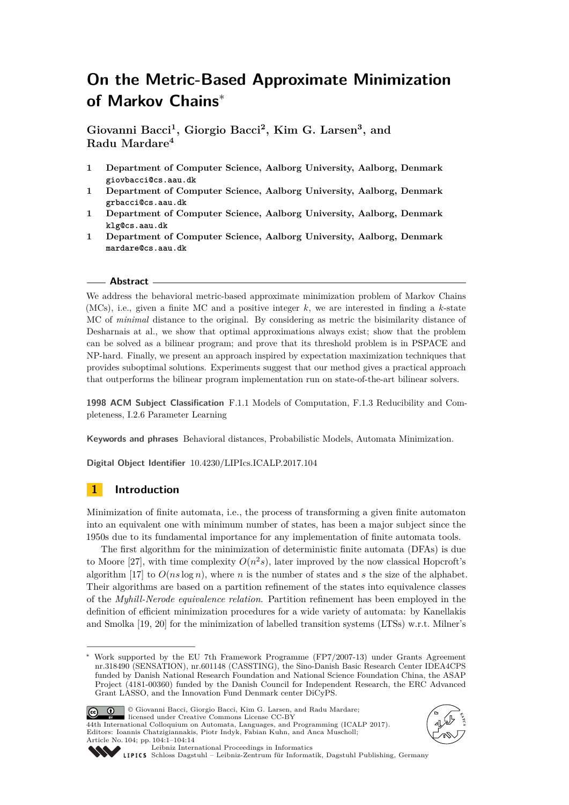# **On the Metric-Based Approximate Minimization of Markov Chains**<sup>∗</sup>

**Giovanni Bacci<sup>1</sup> , Giorgio Bacci<sup>2</sup> , Kim G. Larsen<sup>3</sup> , and Radu Mardare<sup>4</sup>**

- **1 Department of Computer Science, Aalborg University, Aalborg, Denmark giovbacci@cs.aau.dk**
- **1 Department of Computer Science, Aalborg University, Aalborg, Denmark grbacci@cs.aau.dk**
- **1 Department of Computer Science, Aalborg University, Aalborg, Denmark klg@cs.aau.dk**
- **1 Department of Computer Science, Aalborg University, Aalborg, Denmark mardare@cs.aau.dk**

## **Abstract**

We address the behavioral metric-based approximate minimization problem of Markov Chains (MCs), i.e., given a finite MC and a positive integer *k*, we are interested in finding a *k*-state MC of *minimal* distance to the original. By considering as metric the bisimilarity distance of Desharnais at al., we show that optimal approximations always exist; show that the problem can be solved as a bilinear program; and prove that its threshold problem is in PSPACE and NP-hard. Finally, we present an approach inspired by expectation maximization techniques that provides suboptimal solutions. Experiments suggest that our method gives a practical approach that outperforms the bilinear program implementation run on state-of-the-art bilinear solvers.

**1998 ACM Subject Classification** F.1.1 Models of Computation, F.1.3 Reducibility and Completeness, I.2.6 Parameter Learning

**Keywords and phrases** Behavioral distances, Probabilistic Models, Automata Minimization.

**Digital Object Identifier** [10.4230/LIPIcs.ICALP.2017.104](http://dx.doi.org/10.4230/LIPIcs.ICALP.2017.104)

# **1 Introduction**

Minimization of finite automata, i.e., the process of transforming a given finite automaton into an equivalent one with minimum number of states, has been a major subject since the 1950s due to its fundamental importance for any implementation of finite automata tools.

The first algorithm for the minimization of deterministic finite automata (DFAs) is due to Moore [\[27\]](#page-13-0), with time complexity  $O(n^2s)$ , later improved by the now classical Hopcroft's algorithm [\[17\]](#page-13-1) to  $O(ns \log n)$ , where *n* is the number of states and *s* the size of the alphabet. Their algorithms are based on a partition refinement of the states into equivalence classes of the *Myhill-Nerode equivalence relation*. Partition refinement has been employed in the definition of efficient minimization procedures for a wide variety of automata: by Kanellakis and Smolka [\[19,](#page-13-2) [20\]](#page-13-3) for the minimization of labelled transition systems (LTSs) w.r.t. Milner's

<sup>∗</sup> Work supported by the EU 7th Framework Programme (FP7/2007-13) under Grants Agreement nr.318490 (SENSATION), nr.601148 (CASSTING), the Sino-Danish Basic Research Center IDEA4CPS funded by Danish National Research Foundation and National Science Foundation China, the ASAP Project (4181-00360) funded by the Danish Council for Independent Research, the ERC Advanced Grant LASSO, and the Innovation Fund Denmark center DiCyPS.



© Giovanni Bacci, Giorgio Bacci, Kim G. Larsen, and Radu Mardare; licensed under Creative Commons License CC-BY 44th International Colloquium on Automata, Languages, and Programming (ICALP 2017). Editors: Ioannis Chatzigiannakis, Piotr Indyk, Fabian Kuhn, and Anca Muscholl; Article No. 104; pp. 104:1–104[:14](#page-13-4)





[Leibniz International Proceedings in Informatics](http://www.dagstuhl.de/lipics/)

[Schloss Dagstuhl – Leibniz-Zentrum für Informatik, Dagstuhl Publishing, Germany](http://www.dagstuhl.de)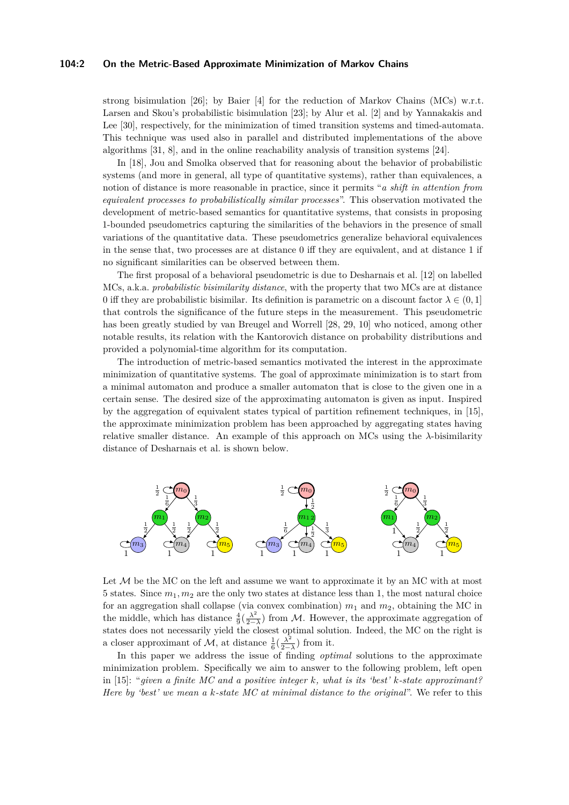#### **104:2 On the Metric-Based Approximate Minimization of Markov Chains**

strong bisimulation [\[26\]](#page-13-5); by Baier [\[4\]](#page-12-0) for the reduction of Markov Chains (MCs) w.r.t. Larsen and Skou's probabilistic bisimulation [\[23\]](#page-13-6); by Alur et al. [\[2\]](#page-12-1) and by Yannakakis and Lee [\[30\]](#page-13-7), respectively, for the minimization of timed transition systems and timed-automata. This technique was used also in parallel and distributed implementations of the above algorithms [\[31,](#page-13-8) [8\]](#page-12-2), and in the online reachability analysis of transition systems [\[24\]](#page-13-9).

In [\[18\]](#page-13-10), Jou and Smolka observed that for reasoning about the behavior of probabilistic systems (and more in general, all type of quantitative systems), rather than equivalences, a notion of distance is more reasonable in practice, since it permits "*a shift in attention from equivalent processes to probabilistically similar processes*". This observation motivated the development of metric-based semantics for quantitative systems, that consists in proposing 1-bounded pseudometrics capturing the similarities of the behaviors in the presence of small variations of the quantitative data. These pseudometrics generalize behavioral equivalences in the sense that, two processes are at distance 0 iff they are equivalent, and at distance 1 if no significant similarities can be observed between them.

The first proposal of a behavioral pseudometric is due to Desharnais et al. [\[12\]](#page-12-3) on labelled MCs, a.k.a. *probabilistic bisimilarity distance*, with the property that two MCs are at distance 0 iff they are probabilistic bisimilar. Its definition is parametric on a discount factor  $\lambda \in (0, 1]$ that controls the significance of the future steps in the measurement. This pseudometric has been greatly studied by van Breugel and Worrell [\[28,](#page-13-11) [29,](#page-13-12) [10\]](#page-12-4) who noticed, among other notable results, its relation with the Kantorovich distance on probability distributions and provided a polynomial-time algorithm for its computation.

The introduction of metric-based semantics motivated the interest in the approximate minimization of quantitative systems. The goal of approximate minimization is to start from a minimal automaton and produce a smaller automaton that is close to the given one in a certain sense. The desired size of the approximating automaton is given as input. Inspired by the aggregation of equivalent states typical of partition refinement techniques, in [\[15\]](#page-12-5), the approximate minimization problem has been approached by aggregating states having relative smaller distance. An example of this approach on MCs using the  $\lambda$ -bisimilarity distance of Desharnais et al. is shown below.



Let  $\mathcal M$  be the MC on the left and assume we want to approximate it by an MC with at most 5 states. Since  $m_1, m_2$  are the only two states at distance less than 1, the most natural choice for an aggregation shall collapse (via convex combination) *m*<sup>1</sup> and *m*2, obtaining the MC in the middle, which has distance  $\frac{4}{9}(\frac{\lambda^2}{2-1})$  $\frac{\lambda^2}{2-\lambda}$ ) from M. However, the approximate aggregation of states does not necessarily yield the closest optimal solution. Indeed, the MC on the right is a closer approximant of  $\mathcal{M}$ , at distance  $\frac{1}{6}(\frac{\lambda^2}{2-1})$  $\frac{\lambda^2}{2-\lambda}$ ) from it.

In this paper we address the issue of finding *optimal* solutions to the approximate minimization problem. Specifically we aim to answer to the following problem, left open in [\[15\]](#page-12-5): "*given a finite MC and a positive integer k, what is its 'best' k-state approximant? Here by 'best' we mean a k-state MC at minimal distance to the original*". We refer to this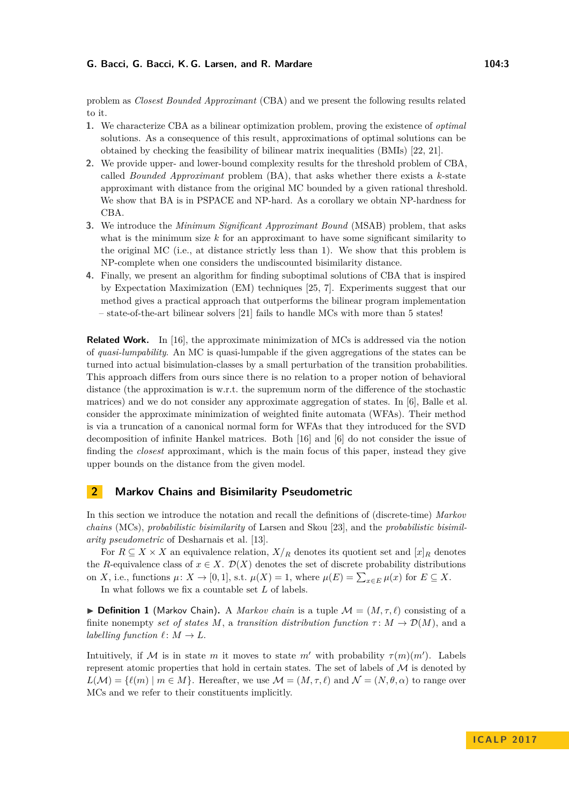problem as *Closest Bounded Approximant* (CBA) and we present the following results related to it.

- **1.** We characterize CBA as a bilinear optimization problem, proving the existence of *optimal* solutions. As a consequence of this result, approximations of optimal solutions can be obtained by checking the feasibility of bilinear matrix inequalities (BMIs) [\[22,](#page-13-13) [21\]](#page-13-14).
- **2.** We provide upper- and lower-bound complexity results for the threshold problem of CBA, called *Bounded Approximant* problem (BA), that asks whether there exists a *k*-state approximant with distance from the original MC bounded by a given rational threshold. We show that BA is in PSPACE and NP-hard. As a corollary we obtain NP-hardness for CBA.
- **3.** We introduce the *Minimum Significant Approximant Bound* (MSAB) problem, that asks what is the minimum size *k* for an approximant to have some significant similarity to the original MC (i.e., at distance strictly less than 1). We show that this problem is NP-complete when one considers the undiscounted bisimilarity distance.
- **4.** Finally, we present an algorithm for finding suboptimal solutions of CBA that is inspired by Expectation Maximization (EM) techniques [\[25,](#page-13-15) [7\]](#page-12-6). Experiments suggest that our method gives a practical approach that outperforms the bilinear program implementation – state-of-the-art bilinear solvers [\[21\]](#page-13-14) fails to handle MCs with more than 5 states!

**Related Work.** In [\[16\]](#page-13-16), the approximate minimization of MCs is addressed via the notion of *quasi-lumpability*. An MC is quasi-lumpable if the given aggregations of the states can be turned into actual bisimulation-classes by a small perturbation of the transition probabilities. This approach differs from ours since there is no relation to a proper notion of behavioral distance (the approximation is w.r.t. the supremum norm of the difference of the stochastic matrices) and we do not consider any approximate aggregation of states. In [\[6\]](#page-12-7), Balle et al. consider the approximate minimization of weighted finite automata (WFAs). Their method is via a truncation of a canonical normal form for WFAs that they introduced for the SVD decomposition of infinite Hankel matrices. Both [\[16\]](#page-13-16) and [\[6\]](#page-12-7) do not consider the issue of finding the *closest* approximant, which is the main focus of this paper, instead they give upper bounds on the distance from the given model.

## **2 Markov Chains and Bisimilarity Pseudometric**

In this section we introduce the notation and recall the definitions of (discrete-time) *Markov chains* (MCs), *probabilistic bisimilarity* of Larsen and Skou [\[23\]](#page-13-6), and the *probabilistic bisimilarity pseudometric* of Desharnais et al. [\[13\]](#page-12-8).

For  $R \subseteq X \times X$  an equivalence relation,  $X/R$  denotes its quotient set and  $[x]_R$  denotes the *R*-equivalence class of  $x \in X$ .  $\mathcal{D}(X)$  denotes the set of discrete probability distributions on *X*, i.e., functions  $\mu: X \to [0,1]$ , s.t.  $\mu(X) = 1$ , where  $\mu(E) = \sum_{x \in E} \mu(x)$  for  $E \subseteq X$ .

In what follows we fix a countable set *L* of labels.

**Definition 1** (Markov Chain). A *Markov chain* is a tuple  $\mathcal{M} = (M, \tau, \ell)$  consisting of a finite nonempty *set of states M*, a *transition distribution function*  $\tau: M \to \mathcal{D}(M)$ , and a *labelling function*  $\ell : M \to L$ .

Intuitively, if M is in state *m* it moves to state *m'* with probability  $\tau(m)(m')$ . Labels represent atomic properties that hold in certain states. The set of labels of  $\mathcal M$  is denoted by  $L(\mathcal{M}) = \{ \ell(m) | m \in M \}.$  Hereafter, we use  $\mathcal{M} = (M, \tau, \ell)$  and  $\mathcal{N} = (N, \theta, \alpha)$  to range over MCs and we refer to their constituents implicitly.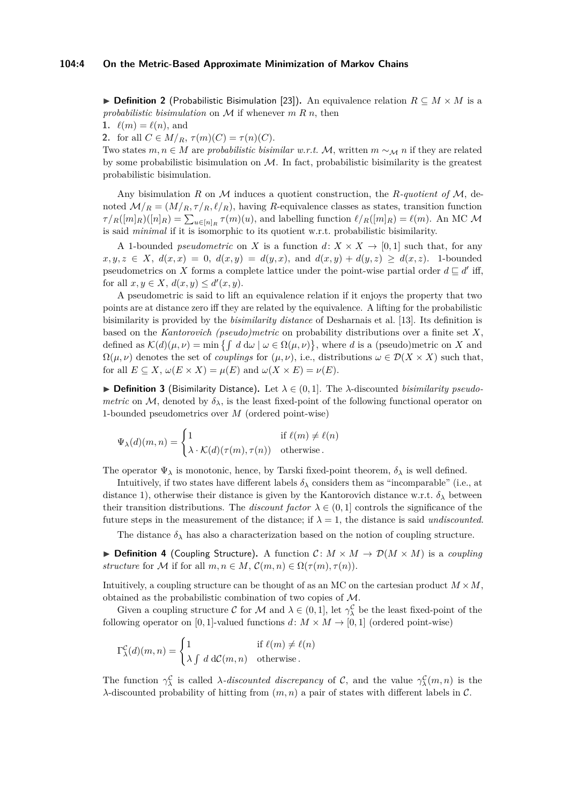**► Definition 2** (Probabilistic Bisimulation [\[23\]](#page-13-6)). An equivalence relation  $R \subseteq M \times M$  is a probabilistic bisimulation on  $M$  if whenever  $m R n$ , then

**1.**  $\ell(m) = \ell(n)$ , and

**2.** for all  $C \in M/R$ ,  $\tau(m)(C) = \tau(n)(C)$ .

Two states  $m, n \in M$  are *probabilistic bisimilar w.r.t.* M, written  $m \sim_M n$  if they are related by some probabilistic bisimulation on  $\mathcal{M}$ . In fact, probabilistic bisimilarity is the greatest probabilistic bisimulation.

Any bisimulation *R* on M induces a quotient construction, the *R-quotient of* M, denoted  $\mathcal{M}/_R = (M/_R, \tau/_{R}, \ell/_{R})$ , having *R*-equivalence classes as states, transition function  $\tau / R([m]_R)([n]_R) = \sum_{u \in [n]_R} \tau(m)(u)$ , and labelling function  $\ell / R([m]_R) = \ell(m)$ . An MC M is said *minimal* if it is isomorphic to its quotient w.r.t. probabilistic bisimilarity.

A 1-bounded *pseudometric* on *X* is a function  $d: X \times X \rightarrow [0,1]$  such that, for any  $x, y, z \in X$ ,  $d(x, x) = 0$ ,  $d(x, y) = d(y, x)$ , and  $d(x, y) + d(y, z) \ge d(x, z)$ . 1-bounded pseudometrics on *X* forms a complete lattice under the point-wise partial order  $d \sqsubseteq d'$  iff, for all  $x, y \in X$ ,  $d(x, y) \leq d'(x, y)$ .

A pseudometric is said to lift an equivalence relation if it enjoys the property that two points are at distance zero iff they are related by the equivalence. A lifting for the probabilistic bisimilarity is provided by the *bisimilarity distance* of Desharnais et al. [\[13\]](#page-12-8). Its definition is based on the *Kantorovich (pseudo)metric* on probability distributions over a finite set *X*, defined as  $\mathcal{K}(d)(\mu, \nu) = \min \{ \int d \, d\omega \mid \omega \in \Omega(\mu, \nu) \}$ , where *d* is a (pseudo)metric on *X* and  $\Omega(\mu, \nu)$  denotes the set of *couplings* for  $(\mu, \nu)$ , i.e., distributions  $\omega \in \mathcal{D}(X \times X)$  such that, for all  $E \subseteq X$ ,  $\omega(E \times X) = \mu(E)$  and  $\omega(X \times E) = \nu(E)$ .

 $\triangleright$  **Definition 3** (Bisimilarity Distance). Let  $\lambda \in (0,1]$ . The  $\lambda$ -discounted *bisimilarity pseudometric* on M, denoted by  $\delta_{\lambda}$ , is the least fixed-point of the following functional operator on 1-bounded pseudometrics over *M* (ordered point-wise)

$$
\Psi_{\lambda}(d)(m,n) = \begin{cases} 1 & \text{if } \ell(m) \neq \ell(n) \\ \lambda \cdot \mathcal{K}(d)(\tau(m), \tau(n)) & \text{otherwise.} \end{cases}
$$

The operator  $\Psi_{\lambda}$  is monotonic, hence, by Tarski fixed-point theorem,  $\delta_{\lambda}$  is well defined.

Intuitively, if two states have different labels *δ<sup>λ</sup>* considers them as "incomparable" (i.e., at distance 1), otherwise their distance is given by the Kantorovich distance w.r.t.  $\delta_{\lambda}$  between their transition distributions. The *discount factor*  $\lambda \in (0,1]$  controls the significance of the future steps in the measurement of the distance; if  $\lambda = 1$ , the distance is said *undiscounted*.

The distance  $\delta_{\lambda}$  has also a characterization based on the notion of coupling structure.

▶ **Definition 4** (Coupling Structure). A function  $C: M \times M \rightarrow \mathcal{D}(M \times M)$  is a *coupling structure* for M if for all  $m, n \in M$ ,  $\mathcal{C}(m, n) \in \Omega(\tau(m), \tau(n))$ .

Intuitively, a coupling structure can be thought of as an MC on the cartesian product  $M \times M$ , obtained as the probabilistic combination of two copies of M.

Given a coupling structure C for M and  $\lambda \in (0,1]$ , let  $\gamma_{\lambda}^{\mathcal{C}}$  be the least fixed-point of the following operator on [0, 1]-valued functions  $d: M \times M \rightarrow [0, 1]$  (ordered point-wise)

$$
\Gamma^{\mathcal{C}}_{\lambda}(d)(m,n) = \begin{cases} 1 & \text{if } \ell(m) \neq \ell(n) \\ \lambda \int d \, d\mathcal{C}(m,n) & \text{otherwise.} \end{cases}
$$

The function  $\gamma_\lambda^{\mathcal{C}}$  is called *λ-discounted discrepancy* of C, and the value  $\gamma_\lambda^{\mathcal{C}}(m,n)$  is the *λ*-discounted probability of hitting from (*m, n*) a pair of states with different labels in C.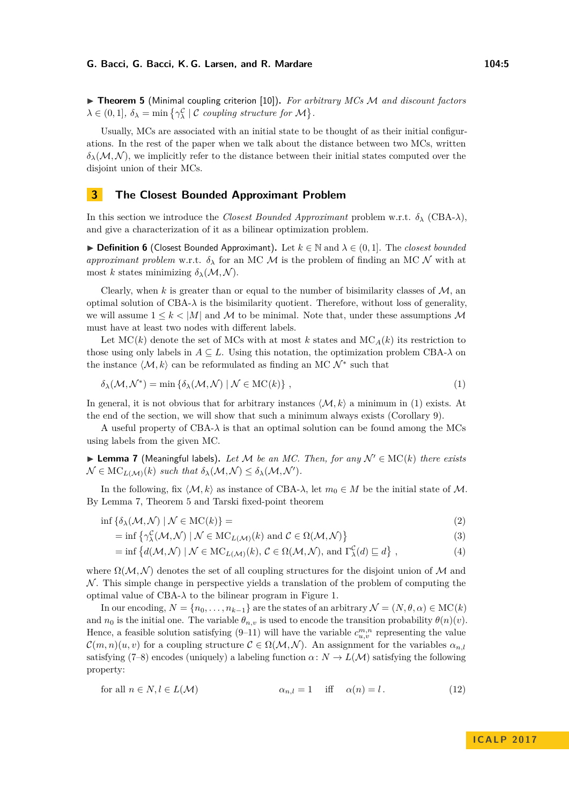<span id="page-4-2"></span>▶ **Theorem 5** (Minimal coupling criterion [\[10\]](#page-12-4)). *For arbitrary MCs M and discount factors*  $\lambda \in (0, 1], \ \delta_{\lambda} = \min \{ \gamma_{\lambda}^{\mathcal{C}} \mid \mathcal{C} \ \text{coupling structure for } \mathcal{M} \}.$ 

Usually, MCs are associated with an initial state to be thought of as their initial configurations. In the rest of the paper when we talk about the distance between two MCs, written  $\delta_{\lambda}(M,N)$ , we implicitly refer to the distance between their initial states computed over the disjoint union of their MCs.

# **3 The Closest Bounded Approximant Problem**

In this section we introduce the *Closest Bounded Approximant* problem w.r.t. *δ<sup>λ</sup>* (CBA-*λ*), and give a characterization of it as a bilinear optimization problem.

**▶ Definition 6** (Closest Bounded Approximant). Let  $k \in \mathbb{N}$  and  $\lambda \in (0, 1]$ . The *closest bounded approximant problem* w.r.t.  $\delta_{\lambda}$  for an MC M is the problem of finding an MC N with at most *k* states minimizing  $\delta_{\lambda}(\mathcal{M}, \mathcal{N})$ .

Clearly, when  $k$  is greater than or equal to the number of bisimilarity classes of  $M$ , an optimal solution of  $CBA-\lambda$  is the bisimilarity quotient. Therefore, without loss of generality, we will assume  $1 \leq k < |M|$  and M to be minimal. Note that, under these assumptions M must have at least two nodes with different labels.

Let  $MC(k)$  denote the set of MCs with at most k states and  $MC_A(k)$  its restriction to those using only labels in  $A \subseteq L$ . Using this notation, the optimization problem CBA- $\lambda$  on the instance  $\langle \mathcal{M}, k \rangle$  can be reformulated as finding an MC  $\mathcal{N}^*$  such that

<span id="page-4-0"></span>
$$
\delta_{\lambda}(\mathcal{M}, \mathcal{N}^*) = \min \left\{ \delta_{\lambda}(\mathcal{M}, \mathcal{N}) \mid \mathcal{N} \in \mathrm{MC}(k) \right\},\tag{1}
$$

In general, it is not obvious that for arbitrary instances  $\langle M, k \rangle$  a minimum in [\(1\)](#page-4-0) exists. At the end of the section, we will show that such a minimum always exists (Corollary [9\)](#page-5-0).

A useful property of CBA-*λ* is that an optimal solution can be found among the MCs using labels from the given MC.

<span id="page-4-1"></span> $▶$  **Lemma 7** (Meaningful labels). Let M be an MC. Then, for any  $\mathcal{N}' \in \text{MC}(k)$  there exists  $\mathcal{N} \in \mathrm{MC}_{L(\mathcal{M})}(k)$  *such that*  $\delta_{\lambda}(\mathcal{M}, \mathcal{N}) \leq \delta_{\lambda}(\mathcal{M}, \mathcal{N}').$ 

In the following, fix  $\langle M, k \rangle$  as instance of CBA- $\lambda$ , let  $m_0 \in M$  be the initial state of M. By Lemma [7,](#page-4-1) Theorem [5](#page-4-2) and Tarski fixed-point theorem

$$
\inf \{ \delta_{\lambda}(\mathcal{M}, \mathcal{N}) \mid \mathcal{N} \in \mathrm{MC}(k) \} =
$$
\n(2)

$$
= \inf \left\{ \gamma_{\lambda}^{\mathcal{C}}(\mathcal{M}, \mathcal{N}) \mid \mathcal{N} \in \mathrm{MC}_{L(\mathcal{M})}(k) \text{ and } \mathcal{C} \in \Omega(\mathcal{M}, \mathcal{N}) \right\}
$$
(3)

<span id="page-4-4"></span>
$$
= \inf \left\{ d(\mathcal{M}, \mathcal{N}) \mid \mathcal{N} \in \mathrm{MC}_{L(\mathcal{M})}(k), \, \mathcal{C} \in \Omega(\mathcal{M}, \mathcal{N}), \, \text{and} \, \Gamma_{\lambda}^{\mathcal{C}}(d) \sqsubseteq d \right\},\tag{4}
$$

where  $\Omega(\mathcal{M}, \mathcal{N})$  denotes the set of all coupling structures for the disjoint union of M and  $\mathcal N$ . This simple change in perspective yields a translation of the problem of computing the optimal value of  $CBA-\lambda$  to the bilinear program in Figure [1.](#page-5-1)

In our encoding,  $N = \{n_0, \ldots, n_{k-1}\}\$  are the states of an arbitrary  $\mathcal{N} = (N, \theta, \alpha) \in \mathrm{MC}(k)$ and  $n_0$  is the initial one. The variable  $\theta_{n,v}$  is used to encode the transition probability  $\theta(n)(v)$ . Hence, a feasible solution satisfying  $(9-11)$  $(9-11)$  will have the variable  $c_{u,v}^{m,n}$  representing the value  $\mathcal{C}(m,n)(u,v)$  for a coupling structure  $\mathcal{C} \in \Omega(\mathcal{M},\mathcal{N})$ . An assignment for the variables  $\alpha_{n,l}$ satisfying [\(7](#page-5-4)[–8\)](#page-5-5) encodes (uniquely) a labeling function  $\alpha: N \to L(\mathcal{M})$  satisfying the following property:

<span id="page-4-3"></span>for all 
$$
n \in N, l \in L(\mathcal{M})
$$
  $\alpha_{n,l} = 1$  iff  $\alpha(n) = l$ . (12)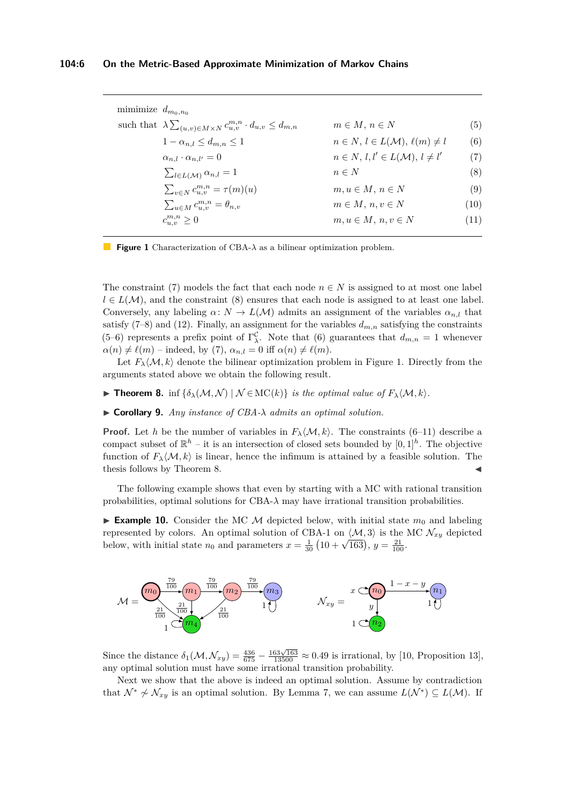<span id="page-5-7"></span><span id="page-5-6"></span><span id="page-5-5"></span><span id="page-5-4"></span><span id="page-5-3"></span><span id="page-5-2"></span><span id="page-5-1"></span>

| mimimize $d_{m_0,n_0}$ |                                                                                        |                                                      |      |
|------------------------|----------------------------------------------------------------------------------------|------------------------------------------------------|------|
|                        | such that $\lambda \sum_{(u,v)\in M\times N} c_{u,v}^{m,n} \cdot d_{u,v} \leq d_{m,n}$ | $m \in M, n \in N$                                   | (5)  |
|                        | $1-\alpha_{n,l} \leq d_{m,n} \leq 1$                                                   | $n \in N, l \in L(\mathcal{M}), \ell(m) \neq l$      | (6)  |
|                        | $\alpha_{n,l} \cdot \alpha_{n,l'} = 0$                                                 | $n \in N$ , $l, l' \in L(\mathcal{M})$ , $l \neq l'$ | (7)  |
|                        | $\sum_{l\in L(\mathcal{M})}\alpha_{n,l}=1$                                             | $n \in N$                                            | (8)  |
|                        | $\sum_{v \in N} c_{u,v}^{m,n} = \tau(m)(u)$                                            | $m, u \in M, n \in N$                                | (9)  |
|                        | $\sum_{u \in M} c_{u,v}^{m,n} = \theta_{n,v}$                                          | $m \in M$ , $n, v \in N$                             | (10) |
|                        | $c_{u,v}^{m,n} \geq 0$                                                                 | $m, u \in M, n, v \in N$                             | (11) |
|                        |                                                                                        |                                                      |      |

**Figure 1** Characterization of CBA-*λ* as a bilinear optimization problem.

The constraint [\(7\)](#page-5-4) models the fact that each node  $n \in N$  is assigned to at most one label  $l \in L(\mathcal{M})$ , and the constraint [\(8\)](#page-5-5) ensures that each node is assigned to at least one label. Conversely, any labeling  $\alpha: N \to L(M)$  admits an assignment of the variables  $\alpha_{n,l}$  that satisfy  $(7-8)$  $(7-8)$  and  $(12)$ . Finally, an assignment for the variables  $d_{m,n}$  satisfying the constraints [\(5–](#page-5-6)[6\)](#page-5-7) represents a prefix point of  $\Gamma^{\mathcal{C}}_{\lambda}$ . Note that [\(6\)](#page-5-7) guarantees that  $d_{m,n} = 1$  whenever  $\alpha(n) \neq \ell(m)$  – indeed, by [\(7\)](#page-5-4),  $\alpha_{n,l} = 0$  iff  $\alpha(n) \neq \ell(m)$ .

Let  $F_{\lambda}(\mathcal{M}, k)$  denote the bilinear optimization problem in Figure [1.](#page-5-1) Directly from the arguments stated above we obtain the following result.

<span id="page-5-8"></span>**► Theorem 8.** inf { $\delta_{\lambda}(M,N) \mid N \in \text{MC}(k)$ } *is the optimal value of*  $F_{\lambda}(M,k)$ *.* 

<span id="page-5-0"></span>I **Corollary 9.** *Any instance of CBA-λ admits an optimal solution.*

**Proof.** Let *h* be the number of variables in  $F_{\lambda} \langle M, k \rangle$ . The constraints [\(6–](#page-5-7)[11\)](#page-5-3) describe a compact subset of  $\mathbb{R}^h$  – it is an intersection of closed sets bounded by  $[0,1]^h$ . The objective function of  $F_{\lambda}\langle\mathcal{M},k\rangle$  is linear, hence the infimum is attained by a feasible solution. The thesis follows by Theorem [8.](#page-5-8)

The following example shows that even by starting with a MC with rational transition probabilities, optimal solutions for CBA-*λ* may have irrational transition probabilities.

<span id="page-5-9"></span>**Example 10.** Consider the MC M depicted below, with initial state  $m_0$  and labeling represented by colors. An optimal solution of CBA-1 on  $\langle \mathcal{M}, 3 \rangle$  is the MC  $\mathcal{N}_{xy}$  depicted below, with initial state  $n_0$  and parameters  $x = \frac{1}{30} (10 + \sqrt{163})$ ,  $y = \frac{21}{100}$ .



Since the distance  $\delta_1(\mathcal{M}, \mathcal{N}_{xy}) = \frac{436}{675} - \frac{163\sqrt{163}}{13500} \approx 0.49$  is irrational, by [\[10,](#page-12-4) Proposition 13], any optimal solution must have some irrational transition probability.

Next we show that the above is indeed an optimal solution. Assume by contradiction that  $\mathcal{N}^* \nsim \mathcal{N}_{xy}$  is an optimal solution. By Lemma [7,](#page-4-1) we can assume  $L(\mathcal{N}^*) \subseteq L(\mathcal{M})$ . If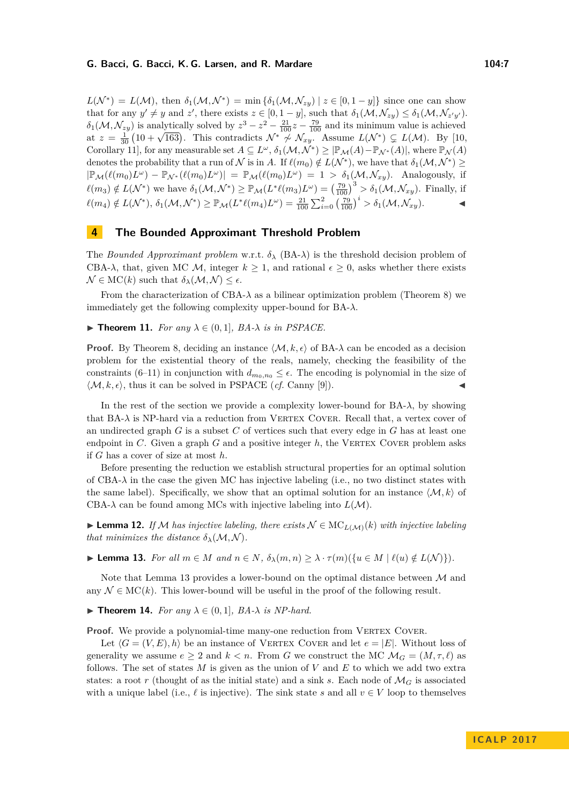$L(\mathcal{N}^*) = L(\mathcal{M})$ , then  $\delta_1(\mathcal{M}, \mathcal{N}^*) = \min \{\delta_1(\mathcal{M}, \mathcal{N}_{zy}) \mid z \in [0, 1 - y]\}$  since one can show that for any  $y' \neq y$  and  $z'$ , there exists  $z \in [0, 1 - y]$ , such that  $\delta_1(\mathcal{M}, \mathcal{N}_{zy}) \leq \delta_1(\mathcal{M}, \mathcal{N}_{z'y'})$ .  $\delta_1(\mathcal{M}, \mathcal{N}_{zy})$  is analytically solved by  $z^3 - z^2 - \frac{21}{100}z - \frac{79}{100}$  and its minimum value is achieved  $\alpha_1(\mathcal{M}, \mathcal{N}_{zy})$  is analytically solved by  $z^2 - z^2 - \frac{1}{100}z^2 - \frac{1}{100}$  and its minimum value is achieved at  $z = \frac{1}{30}(10 + \sqrt{163})$ . This contradicts  $\mathcal{N}^* \nsim \mathcal{N}_{xy}$ . Assume  $L(\mathcal{N}^*) \subsetneq L(\mathcal{M})$ . By [\[10,](#page-12-4) Corollary 11, for any measurable set  $A \subseteq L^{\omega}$ ,  $\delta_1(\mathcal{M}, \mathcal{N}^*) \geq |\mathbb{P}_{\mathcal{M}}(A) - \mathbb{P}_{\mathcal{N}^*}(A)|$ , where  $\mathbb{P}_{\mathcal{N}}(A)$ denotes the probability that a run of  $\mathcal N$  is in *A*. If  $\ell(m_0) \notin L(\mathcal N^*)$ , we have that  $\delta_1(\mathcal M,\mathcal N^*) \geq$  $|\mathbb{P}_\mathcal{M}(\ell(m_0)L^\omega) - \mathbb{P}_{\mathcal{N}^*}(\ell(m_0)L^\omega)| = \mathbb{P}_\mathcal{M}(\ell(m_0)L^\omega) = 1 > \delta_1(\mathcal{M}, \mathcal{N}_{xy})$ . Analogously, if  $\ell(m_3) \notin L(\mathcal{N}^*)$  we have  $\delta_1(\mathcal{M}, \mathcal{N}^*) \geq \mathbb{P}_{\mathcal{M}}(L^*\ell(m_3)L^{\omega}) = \left(\frac{79}{100}\right)^3 > \delta_1(\mathcal{M}, \mathcal{N}_{xy})$ . Finally, if  $\ell(m_4) \notin L(\mathcal{N}^*), \ \delta_1(\mathcal{M}, \mathcal{N}^*) \geq \mathbb{P}_{\mathcal{M}}(L^*\ell(m_4)L^{\omega}) = \frac{21}{100} \sum_{i=0}^2 \left(\frac{79}{100}\right)^i > \delta_1(\mathcal{M}, \mathcal{N}_{xy}).$ 

# **4 The Bounded Approximant Threshold Problem**

The *Bounded Approximant problem* w.r.t.  $\delta_{\lambda}$  (BA- $\lambda$ ) is the threshold decision problem of CBA- $\lambda$ , that, given MC M, integer  $k > 1$ , and rational  $\epsilon > 0$ , asks whether there exists  $\mathcal{N} \in \mathrm{MC}(k)$  such that  $\delta_{\lambda}(\mathcal{M}, \mathcal{N}) \leq \epsilon$ .

From the characterization of CBA- $\lambda$  as a bilinear optimization problem (Theorem [8\)](#page-5-8) we immediately get the following complexity upper-bound for BA-*λ*.

**► Theorem 11.** *For any*  $\lambda \in (0,1]$ *, BA-* $\lambda$  *is in PSPACE.* 

**Proof.** By Theorem [8,](#page-5-8) deciding an instance  $\langle M, k, \epsilon \rangle$  of BA- $\lambda$  can be encoded as a decision problem for the existential theory of the reals, namely, checking the feasibility of the constraints [\(6](#page-5-7)[–11\)](#page-5-3) in conjunction with  $d_{m_0,n_0} \leq \epsilon$ . The encoding is polynomial in the size of  $\langle \mathcal{M}, k, \epsilon \rangle$ , thus it can be solved in PSPACE (*cf.* Canny [\[9\]](#page-12-9)).

In the rest of the section we provide a complexity lower-bound for  $BA-\lambda$ , by showing that  $BA-\lambda$  is NP-hard via a reduction from VERTEX COVER. Recall that, a vertex cover of an undirected graph *G* is a subset *C* of vertices such that every edge in *G* has at least one endpoint in  $C$ . Given a graph  $G$  and a positive integer  $h$ , the VERTEX COVER problem asks if *G* has a cover of size at most *h*.

Before presenting the reduction we establish structural properties for an optimal solution of CBA- $\lambda$  in the case the given MC has injective labeling (i.e., no two distinct states with the same label). Specifically, we show that an optimal solution for an instance  $\langle M, k \rangle$  of CBA- $\lambda$  can be found among MCs with injective labeling into  $L(\mathcal{M})$ .

<span id="page-6-2"></span>**► Lemma 12.** *If* M has injective labeling, there exists  $N \in \text{MC}_{L(M)}(k)$  *with injective labeling that minimizes the distance*  $\delta_{\lambda}(M, N)$ *.* 

<span id="page-6-0"></span>**Lemma 13.** For all  $m \in M$  and  $n \in N$ ,  $\delta_{\lambda}(m, n) \geq \lambda \cdot \tau(m)(\{u \in M \mid \ell(u) \notin L(\mathcal{N})\})$ .

Note that Lemma [13](#page-6-0) provides a lower-bound on the optimal distance between  $\mathcal M$  and any  $\mathcal{N} \in \mathrm{MC}(k)$ . This lower-bound will be useful in the proof of the following result.

<span id="page-6-1"></span>▶ **Theorem 14.** *For any*  $\lambda \in (0,1]$ *, BA-* $\lambda$  *is NP-hard.* 

**Proof.** We provide a polynomial-time many-one reduction from VERTEX COVER.

Let  $\langle G = (V, E), h \rangle$  be an instance of VERTEX COVER and let  $e = |E|$ . Without loss of generality we assume  $e \geq 2$  and  $k < n$ . From G we construct the MC  $\mathcal{M}_G = (M, \tau, \ell)$  as follows. The set of states *M* is given as the union of *V* and *E* to which we add two extra states: a root *r* (thought of as the initial state) and a sink *s*. Each node of  $\mathcal{M}_G$  is associated with a unique label (i.e.,  $\ell$  is injective). The sink state *s* and all  $v \in V$  loop to themselves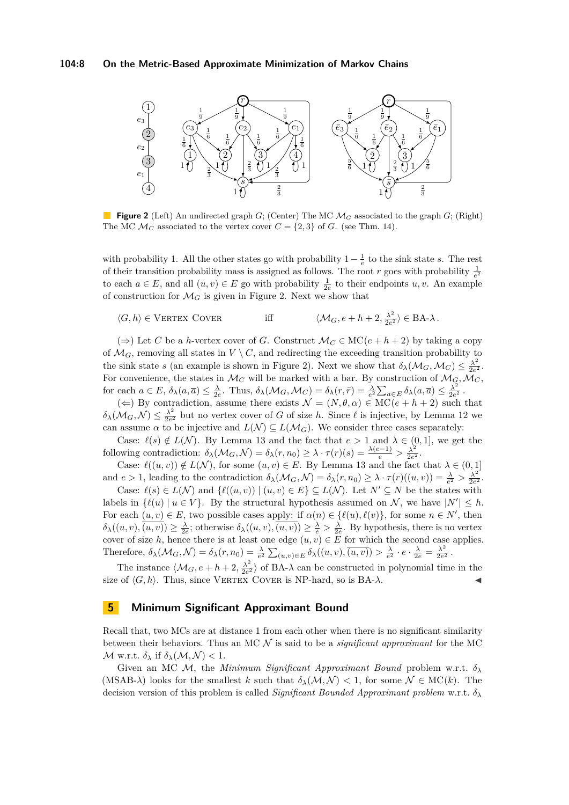<span id="page-7-0"></span>

**Figure 2** (Left) An undirected graph *G*; (Center) The MC M*<sup>G</sup>* associated to the graph *G*; (Right) The MC  $\mathcal{M}_C$  associated to the vertex cover  $C = \{2, 3\}$  of *G*. (see Thm. [14\)](#page-6-1).

with probability 1. All the other states go with probability  $1 - \frac{1}{e}$  to the sink state *s*. The rest of their transition probability mass is assigned as follows. The root *r* goes with probability  $\frac{1}{e^2}$ to each  $a \in E$ , and all  $(u, v) \in E$  go with probability  $\frac{1}{2e}$  to their endpoints  $u, v$ . An example of construction for  $\mathcal{M}_G$  is given in Figure [2.](#page-7-0) Next we show that

$$
\langle G, h \rangle \in \text{VERTEX Cover} \qquad \qquad \text{iff} \qquad \langle \mathcal{M}_G, e + h + 2, \frac{\lambda^2}{2e^2} \rangle \in \text{BA-}\lambda \, .
$$

(⇒) Let *C* be a *h*-vertex cover of *G*. Construct  $\mathcal{M}_C$  ∈ MC( $e + h + 2$ ) by taking a copy of  $\mathcal{M}_G$ , removing all states in  $V \setminus C$ , and redirecting the exceeding transition probability to the sink state *s* (an example is shown in Figure [2\)](#page-7-0). Next we show that  $\delta_{\lambda}(\mathcal{M}_G, \mathcal{M}_C) \leq \frac{\lambda^2}{2c^2}$  $\frac{\lambda^2}{2e^2}$ . For convenience, the states in  $\mathcal{M}_C$  will be marked with a bar. By construction of  $\mathcal{M}_\mathcal{G}, \mathcal{M}_C$ , for each  $a \in E$ ,  $\delta_{\lambda}(a, \overline{a}) \leq \frac{\lambda}{2e}$ . Thus,  $\delta_{\lambda}(\mathcal{M}_G, \mathcal{M}_C) = \delta_{\lambda}(r, \overline{r}) = \frac{\lambda}{e^2} \sum_{a \in E} \delta_{\lambda}(a, \overline{a}) \leq \frac{\lambda^2}{2e^2}$  $\frac{\lambda^2}{2e^2}$ .

 $(\Leftarrow)$  By contradiction, assume there exists  $\mathcal{N} = (N, \theta, \alpha) \in \mathrm{MC}(e + h + 2)$  such that  $\delta_{\lambda}(\mathcal{M}_G, \mathcal{N}) \leq \frac{\lambda^2}{2e^2}$  $\frac{\lambda^2}{2e^2}$  but no vertex cover of *G* of size *h*. Since  $\ell$  is injective, by Lemma [12](#page-6-2) we can assume  $\alpha$  to be injective and  $L(\mathcal{N}) \subseteq L(\mathcal{M}_G)$ . We consider three cases separately:

Case:  $\ell(s) \notin L(\mathcal{N})$ . By Lemma [13](#page-6-0) and the fact that  $e > 1$  and  $\lambda \in (0,1]$ , we get the following contradiction:  $\delta_{\lambda}(\mathcal{M}_G, \mathcal{N}) = \delta_{\lambda}(r, n_0) \geq \lambda \cdot \tau(r)(s) = \frac{\lambda(e-1)}{e} > \frac{\lambda^2}{2e^s}$  $\frac{\lambda^2}{2e^2}$ .

Case:  $\ell((u, v)) \notin L(\mathcal{N})$ , for some  $(u, v) \in E$ . By Lemma [13](#page-6-0) and the fact that  $\lambda \in (0, 1]$ and  $e > 1$ , leading to the contradiction  $\delta_{\lambda}(\mathcal{M}_G, \mathcal{N}) = \delta_{\lambda}(r, n_0) \geq \lambda \cdot \tau(r)((u, v)) = \frac{\lambda}{e^2} > \frac{\lambda^2}{2e^2}$  $\frac{\lambda^2}{2e^2}$ .

Case:  $\ell(s) \in L(\mathcal{N})$  and  $\{\ell((u, v)) \mid (u, v) \in E\} \subseteq L(\mathcal{N})$ . Let  $N' \subseteq N$  be the states with labels in  $\{\ell(u) | u \in V\}$ . By the structural hypothesis assumed on N, we have  $|N'| \leq h$ . For each  $(u, v) \in E$ , two possible cases apply: if  $\alpha(n) \in \{\ell(u), \ell(v)\}\)$ , for some  $n \in N'$ , then  $\delta_{\lambda}((u, v), (u, v)) \geq \frac{\lambda}{2e}$ ; otherwise  $\delta_{\lambda}((u, v), (u, v)) \geq \frac{\lambda}{e} > \frac{\lambda}{2e}$ . By hypothesis, there is no vertex cover of size *h*, hence there is at least one edge  $(u, v) \in E$  for which the second case applies. Therefore,  $\delta_{\lambda}(\mathcal{M}_G,\mathcal{N})=\delta_{\lambda}(r,n_0)=\frac{\lambda}{e^2}\sum_{(u,v)\in E}\delta_{\lambda}((u,v),\overline{(u,v)})>\frac{\lambda}{e^2}\cdot e\cdot \frac{\lambda}{2e}=\frac{\lambda^2}{2e^2}$  $\frac{\lambda^2}{2e^2}$ .

The instance  $\langle \mathcal{M}_G, e+h+2, \frac{\lambda^2}{2e^2} \rangle$  $\frac{\lambda^2}{2e^2}$  of BA- $\lambda$  can be constructed in polynomial time in the size of  $\langle G, h \rangle$ . Thus, since VERTEX COVER is NP-hard, so is BA- $\lambda$ .

## **5 Minimum Significant Approximant Bound**

Recall that, two MCs are at distance 1 from each other when there is no significant similarity between their behaviors. Thus an MC N is said to be a *significant approximant* for the MC  $\mathcal{M}$  w.r.t.  $\delta_{\lambda}$  if  $\delta_{\lambda}(\mathcal{M}, \mathcal{N}) < 1$ .

Given an MC M, the *Minimum Significant Approximant Bound* problem w.r.t. *δ<sup>λ</sup>* (MSAB- $\lambda$ ) looks for the smallest *k* such that  $\delta_{\lambda}(\mathcal{M}, \mathcal{N}) < 1$ , for some  $\mathcal{N} \in \mathrm{MC}(k)$ . The decision version of this problem is called *Significant Bounded Approximant problem* w.r.t. *δ<sup>λ</sup>*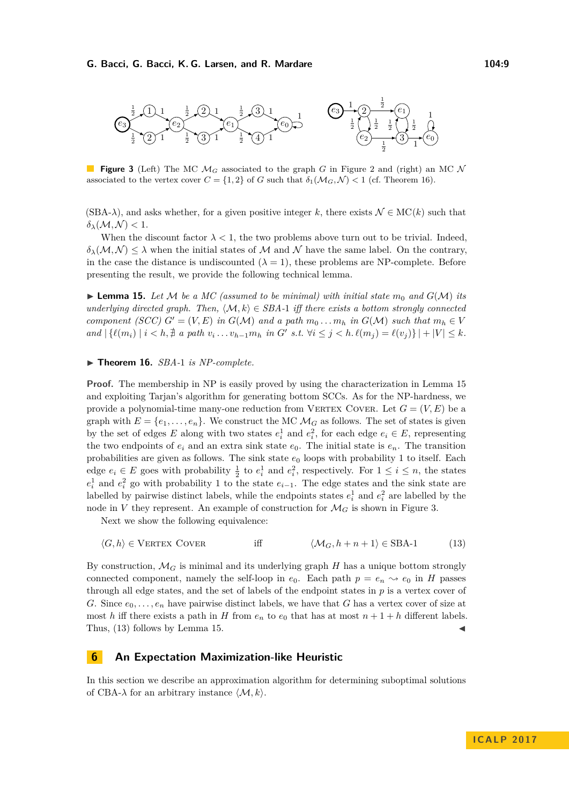<span id="page-8-2"></span>

**Figure 3** (Left) The MC M*<sup>G</sup>* associated to the graph *G* in Figure [2](#page-7-0) and (right) an MC N associated to the vertex cover  $C = \{1, 2\}$  of *G* such that  $\delta_1(\mathcal{M}_G, \mathcal{N}) < 1$  (cf. Theorem [16\)](#page-8-0).

 $(SBA-\lambda)$ , and asks whether, for a given positive integer *k*, there exists  $\mathcal{N} \in \mathrm{MC}(k)$  such that  $\delta_{\lambda}(\mathcal{M}, \mathcal{N}) < 1$ .

When the discount factor  $\lambda < 1$ , the two problems above turn out to be trivial. Indeed,  $\delta_{\lambda}(M,N) \leq \lambda$  when the initial states of M and N have the same label. On the contrary, in the case the distance is undiscounted  $(\lambda = 1)$ , these problems are NP-complete. Before presenting the result, we provide the following technical lemma.

<span id="page-8-1"></span> $\blacktriangleright$  **Lemma 15.** Let M be a MC (assumed to be minimal) with initial state  $m_0$  and  $G(\mathcal{M})$  its *underlying directed graph. Then,*  $\langle \mathcal{M}, k \rangle \in \text{SBA-1}$  *iff there exists a bottom strongly connected component (SCC)*  $G' = (V, E)$  *in*  $G(\mathcal{M})$  *and a path*  $m_0 \dots m_h$  *in*  $G(\mathcal{M})$  *such that*  $m_h \in V$ and  $|\{\ell(m_i) \mid i < h, \nexists a path v_i \dots v_{h-1} m_h \text{ in } G' \text{ s.t. } \forall i \leq j < h. \ell(m_j) = \ell(v_j)\}| + |V| \leq k$ .

## <span id="page-8-0"></span>▶ **Theorem 16.** *SBA-1 is NP-complete.*

**Proof.** The membership in NP is easily proved by using the characterization in Lemma [15](#page-8-1) and exploiting Tarjan's algorithm for generating bottom SCCs. As for the NP-hardness, we provide a polynomial-time many-one reduction from VERTEX COVER. Let  $G = (V, E)$  be a graph with  $E = \{e_1, \ldots, e_n\}$ . We construct the MC  $\mathcal{M}_G$  as follows. The set of states is given by the set of edges *E* along with two states  $e_i^1$  and  $e_i^2$ , for each edge  $e_i \in E$ , representing the two endpoints of  $e_i$  and an extra sink state  $e_0$ . The initial state is  $e_n$ . The transition probabilities are given as follows. The sink state  $e_0$  loops with probability 1 to itself. Each edge  $e_i \in E$  goes with probability  $\frac{1}{2}$  to  $e_i^1$  and  $e_i^2$ , respectively. For  $1 \le i \le n$ , the states  $e_i^1$  and  $e_i^2$  go with probability 1 to the state  $e_{i-1}$ . The edge states and the sink state are labelled by pairwise distinct labels, while the endpoints states  $e_i^1$  and  $e_i^2$  are labelled by the node in *V* they represent. An example of construction for  $\mathcal{M}_G$  is shown in Figure [3.](#page-8-2)

Next we show the following equivalence:

<span id="page-8-3"></span>
$$
\langle G, h \rangle \in \text{VERTEX Cover} \qquad \qquad \text{iff} \qquad \langle \mathcal{M}_G, h + n + 1 \rangle \in \text{SBA-1} \qquad (13)
$$

By construction,  $\mathcal{M}_G$  is minimal and its underlying graph  $H$  has a unique bottom strongly connected component, namely the self-loop in  $e_0$ . Each path  $p = e_n \rightarrow e_0$  in *H* passes through all edge states, and the set of labels of the endpoint states in *p* is a vertex cover of *G*. Since  $e_0, \ldots, e_n$  have pairwise distinct labels, we have that *G* has a vertex cover of size at most *h* iff there exists a path in *H* from  $e_n$  to  $e_0$  that has at most  $n + 1 + h$  different labels. Thus,  $(13)$  follows by Lemma [15.](#page-8-1)

# **6 An Expectation Maximization-like Heuristic**

In this section we describe an approximation algorithm for determining suboptimal solutions of CBA- $\lambda$  for an arbitrary instance  $\langle \mathcal{M}, k \rangle$ .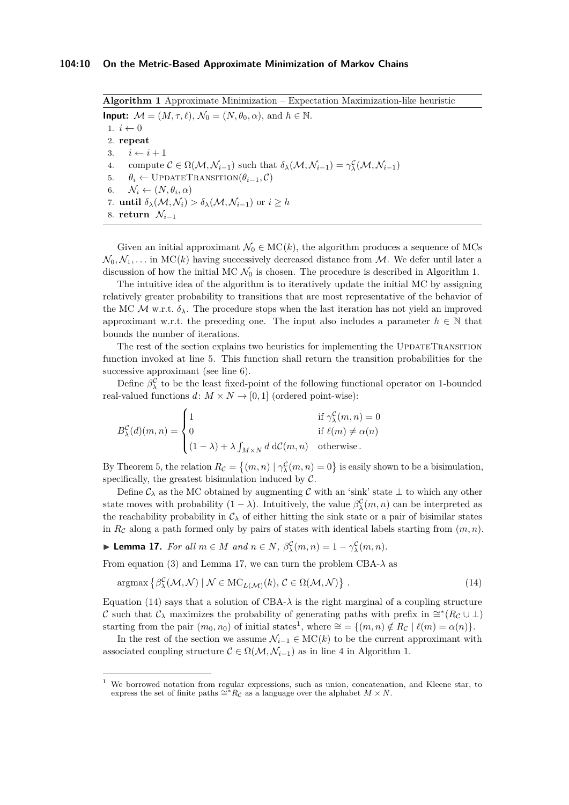<span id="page-9-2"></span><span id="page-9-1"></span>**Algorithm 1** Approximate Minimization – Expectation Maximization-like heuristic **Input:**  $\mathcal{M} = (M, \tau, \ell), \mathcal{N}_0 = (N, \theta_0, \alpha), \text{ and } h \in \mathbb{N}.$ 1.  $i \leftarrow 0$ 2. **repeat** 3.  $i \leftarrow i + 1$ 4. compute  $C \in \Omega(\mathcal{M}, \mathcal{N}_{i-1})$  such that  $\delta_{\lambda}(\mathcal{M}, \mathcal{N}_{i-1}) = \gamma_{\lambda}^{\mathcal{C}}(\mathcal{M}, \mathcal{N}_{i-1})$ 5.  $\theta_i \leftarrow \text{UPDATETRANSITION}(\theta_{i-1}, \mathcal{C})$ 6.  $\mathcal{N}_i \leftarrow (N, \theta_i, \alpha)$ 7. **until**  $\delta_{\lambda}(\mathcal{M}, \mathcal{N}_i) > \delta_{\lambda}(\mathcal{M}, \mathcal{N}_{i-1})$  or  $i \geq h$ 8. **return**  $\mathcal{N}_{i-1}$ 

<span id="page-9-0"></span>Given an initial approximant  $\mathcal{N}_0 \in \mathrm{MC}(k)$ , the algorithm produces a sequence of MCs  $\mathcal{N}_0, \mathcal{N}_1, \ldots$  in MC(k) having successively decreased distance from M. We defer until later a discussion of how the initial MC  $\mathcal{N}_0$  is chosen. The procedure is described in Algorithm [1.](#page-9-0)

The intuitive idea of the algorithm is to iteratively update the initial MC by assigning relatively greater probability to transitions that are most representative of the behavior of the MC  $\mathcal{M}$  w.r.t.  $\delta_{\lambda}$ . The procedure stops when the last iteration has not yield an improved approximant w.r.t. the preceding one. The input also includes a parameter  $h \in \mathbb{N}$  that bounds the number of iterations.

The rest of the section explains two heuristics for implementing the UPDATETRANSITION function invoked at line [5.](#page-9-1) This function shall return the transition probabilities for the successive approximant (see line [6\)](#page-9-2).

Define  $\beta_{\lambda}^{\mathcal{C}}$  to be the least fixed-point of the following functional operator on 1-bounded real-valued functions  $d: M \times N \to [0,1]$  (ordered point-wise):

$$
B_{\lambda}^{\mathcal{C}}(d)(m,n) = \begin{cases} 1 & \text{if } \gamma_{\lambda}^{\mathcal{C}}(m,n) = 0 \\ 0 & \text{if } \ell(m) \neq \alpha(n) \\ (1-\lambda) + \lambda \int_{M \times N} d \, d\mathcal{C}(m,n) & \text{otherwise.} \end{cases}
$$

By Theorem [5,](#page-4-2) the relation  $R_{\mathcal{C}} = \{(m, n) \mid \gamma_{\lambda}^{\mathcal{C}}(m, n) = 0\}$  is easily shown to be a bisimulation, specifically, the greatest bisimulation induced by  $C$ .

Define  $\mathcal{C}_{\lambda}$  as the MC obtained by augmenting C with an 'sink' state  $\bot$  to which any other state moves with probability  $(1 - \lambda)$ . Intuitively, the value  $\beta_{\lambda}^{\mathcal{C}}(m, n)$  can be interpreted as the reachability probability in  $C_{\lambda}$  of either hitting the sink state or a pair of bisimilar states in  $R_c$  along a path formed only by pairs of states with identical labels starting from  $(m, n)$ .

<span id="page-9-3"></span>► **Lemma 17.** *For all*  $m \in M$  *and*  $n \in N$ *,*  $\beta_{\lambda}^{\mathcal{C}}(m, n) = 1 - \gamma_{\lambda}^{\mathcal{C}}(m, n)$ *.* 

From equation [\(3\)](#page-4-4) and Lemma [17,](#page-9-3) we can turn the problem CBA- $\lambda$  as

<span id="page-9-4"></span>
$$
\operatorname{argmax} \left\{ \beta_{\lambda}^{\mathcal{C}}(\mathcal{M}, \mathcal{N}) \mid \mathcal{N} \in \operatorname{MC}_{L(\mathcal{M})}(k), \, \mathcal{C} \in \Omega(\mathcal{M}, \mathcal{N}) \right\} \,. \tag{14}
$$

Equation [\(14\)](#page-9-4) says that a solution of CBA- $\lambda$  is the right marginal of a coupling structure C such that  $\mathcal{C}_{\lambda}$  maximizes the probability of generating paths with prefix in  $\cong^*(R_{\mathcal{C}} \cup \bot)$ starting from the pair  $(m_0, n_0)$  of initial states<sup>[1](#page-9-5)</sup>, where  $\cong$  = { $(m, n) \notin R_c$  |  $\ell(m) = \alpha(n)$ }.

In the rest of the section we assume  $\mathcal{N}_{i-1} \in \mathrm{MC}(k)$  to be the current approximant with associated coupling structure  $\mathcal{C} \in \Omega(\mathcal{M}, \mathcal{N}_{i-1})$  as in line 4 in Algorithm [1.](#page-9-0)

<span id="page-9-5"></span><sup>1</sup> We borrowed notation from regular expressions, such as union, concatenation, and Kleene star, to express the set of finite paths  $\cong$ <sup>\*</sup> $R_{\mathcal{C}}$  as a language over the alphabet *M* × *N*.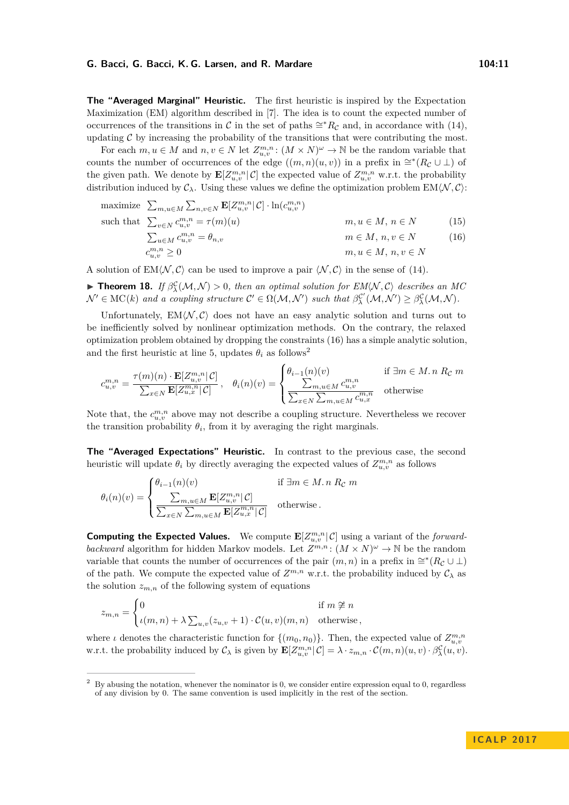**The "Averaged Marginal" Heuristic.** The first heuristic is inspired by the Expectation Maximization (EM) algorithm described in [\[7\]](#page-12-6). The idea is to count the expected number of occurrences of the transitions in C in the set of paths  $\cong$ <sup>\*</sup> $R_{\mathcal{C}}$  and, in accordance with [\(14\)](#page-9-4), updating  $C$  by increasing the probability of the transitions that were contributing the most.

For each  $m, u \in M$  and  $n, v \in N$  let  $Z_{u,v}^{m,n}$ :  $(M \times N)^{\omega} \to \mathbb{N}$  be the random variable that counts the number of occurrences of the edge  $((m, n)(u, v))$  in a prefix in  $\cong^*(R_{\mathcal{C}} \cup \bot)$  of the given path. We denote by  $\mathbf{E}[Z_{u,v}^{m,n}|\mathcal{C}]$  the expected value of  $Z_{u,v}^{m,n}$  w.r.t. the probability distribution induced by  $C_\lambda$ . Using these values we define the optimization problem EM $\langle N, C \rangle$ :

<span id="page-10-0"></span>maximize 
$$
\sum_{m,u \in M} \sum_{n,v \in N} \mathbf{E}[Z_{u,v}^{m,n} | \mathcal{C}] \cdot \ln(c_{u,v}^{m,n})
$$
  
\nsuch that  $\sum_{v \in N} c_{u,v}^{m,n} = \tau(m)(u)$   $m, u \in M, n \in N$  (15)  
\n $\sum_{u \in M} c_{u,v}^{m,n} = \theta_{n,v}$   $m \in M, n, v \in N$  (16)  
\n $c_{u,v}^{m,n} \ge 0$ 

A solution of  $EM\langle N, C \rangle$  can be used to improve a pair  $\langle N, C \rangle$  in the sense of [\(14\)](#page-9-4).

**Findmark 18.** *If*  $\beta_{\lambda}^{\mathcal{C}}(\mathcal{M}, \mathcal{N}) > 0$ , then an optimal solution for  $EM(\mathcal{N}, \mathcal{C})$  describes an MC  $\mathcal{N}' \in \mathrm{MC}(k)$  and a coupling structure  $\mathcal{C}' \in \Omega(\mathcal{M}, \mathcal{N}')$  such that  $\beta_{\lambda}^{\mathcal{C}'}(\mathcal{M}, \mathcal{N}') \geq \beta_{\lambda}^{\mathcal{C}}(\mathcal{M}, \mathcal{N})$ .

Unfortunately,  $EM\langle N, C \rangle$  does not have an easy analytic solution and turns out to be inefficiently solved by nonlinear optimization methods. On the contrary, the relaxed optimization problem obtained by dropping the constraints [\(16\)](#page-10-0) has a simple analytic solution, and the first heuristic at line [5,](#page-9-1) updates  $\theta_i$  as follows<sup>[2](#page-10-1)</sup>

$$
c_{u,v}^{m,n} = \frac{\tau(m)(n) \cdot \mathbf{E}[Z_{u,v}^{m,n} | \mathcal{C}]}{\sum_{x \in N} \mathbf{E}[Z_{u,x}^{m,n} | \mathcal{C}]} , \quad \theta_i(n)(v) = \begin{cases} \theta_{i-1}(n)(v) & \text{if } \exists m \in M. n \ R_{\mathcal{C}} \ m \\ \frac{\sum_{m,u \in M} c_{u,v}^{m,n}}{\sum_{x \in N} \sum_{m,u \in M} c_{u,x}^{m,n}} & \text{otherwise} \end{cases}
$$

Note that, the  $c_{u,v}^{m,n}$  above may not describe a coupling structure. Nevertheless we recover the transition probability  $\theta_i$ , from it by averaging the right marginals.

**The "Averaged Expectations" Heuristic.** In contrast to the previous case, the second heuristic will update  $\theta_i$  by directly averaging the expected values of  $Z_{u,v}^{m,n}$  as follows

$$
\theta_i(n)(v) = \begin{cases} \theta_{i-1}(n)(v) & \text{if } \exists m \in M. n \ R_{\mathcal{C}} \ m \\ \frac{\sum_{m,u \in M} \mathbf{E}[Z_{u,v}^{m,n} | \mathcal{C}]}{\sum_{x \in N} \sum_{m,u \in M} \mathbf{E}[Z_{u,x}^{m,n} | \mathcal{C}]} & \text{otherwise.} \end{cases}
$$

**Computing the Expected Values.** We compute  $\mathbf{E}[Z_{u,v}^{m,n}|\mathcal{C}]$  using a variant of the *forwardbackward* algorithm for hidden Markov models. Let  $Z^{m,n}$ :  $(M \times N)^{\omega} \to \mathbb{N}$  be the random variable that counts the number of occurrences of the pair  $(m, n)$  in a prefix in  $\cong^*(R_{\mathcal{C}} \cup \bot)$ of the path. We compute the expected value of  $Z^{m,n}$  w.r.t. the probability induced by  $\mathcal{C}_{\lambda}$  as the solution  $z_{m,n}$  of the following system of equations

$$
z_{m,n} = \begin{cases} 0 & \text{if } m \not\cong n \\ \iota(m,n) + \lambda \sum_{u,v} (z_{u,v} + 1) \cdot \mathcal{C}(u,v)(m,n) & \text{otherwise,} \end{cases}
$$

where *ι* denotes the characteristic function for  $\{(m_0, n_0)\}$ . Then, the expected value of  $Z_{u,v}^{m,n}$ w.r.t. the probability induced by  $\mathcal{C}_{\lambda}$  is given by  $\mathbf{E}[Z_{u,v}^{m,n}|\mathcal{C}] = \lambda \cdot z_{m,n} \cdot \mathcal{C}(m,n)(u,v) \cdot \beta_{\lambda}^{\mathcal{C}}(u,v)$ .

<span id="page-10-1"></span><sup>&</sup>lt;sup>2</sup> By abusing the notation, whenever the nominator is 0, we consider entire expression equal to 0, regardless of any division by 0. The same convention is used implicitly in the rest of the section.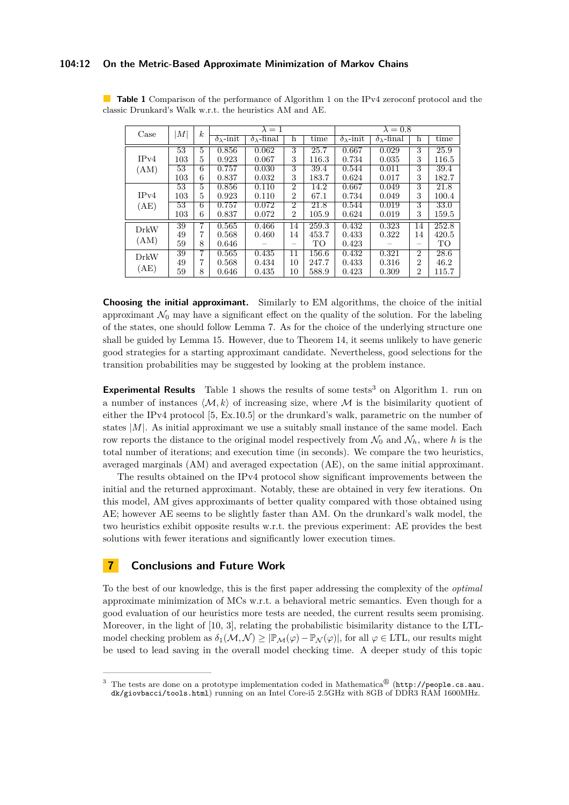## **104:12 On the Metric-Based Approximate Minimization of Markov Chains**

| Case         | M               | $\boldsymbol{k}$ |                          | $\lambda = 1$             |                |       |                          | $\lambda = 0.8$           |                |       |
|--------------|-----------------|------------------|--------------------------|---------------------------|----------------|-------|--------------------------|---------------------------|----------------|-------|
|              |                 |                  | $\delta_{\lambda}$ -init | $\delta_{\lambda}$ -final | h              | time  | $\delta_{\lambda}$ -init | $\delta_{\lambda}$ -final | h              | time  |
| IPv4<br>(AM) | 53              | $\overline{5}$   | 0.856                    | 0.062                     | 3              | 25.7  | 0.667                    | 0.029                     | 3              | 25.9  |
|              | 103             | 5                | 0.923                    | 0.067                     | 3              | 116.3 | 0.734                    | 0.035                     | 3              | 116.5 |
|              | $\overline{53}$ | 6                | 0.757                    | 0.030                     | 3              | 39.4  | 0.544                    | 0.011                     | 3              | 39.4  |
|              | 103             | 6                | 0.837                    | 0.032                     | 3              | 183.7 | 0.624                    | 0.017                     | 3              | 182.7 |
| IPv4         | 53              | $\mathbf{5}$     | 0.856                    | 0.110                     | $\overline{2}$ | 14.2  | 0.667                    | 0.049                     | 3              | 21.8  |
|              | 103             | 5                | 0.923                    | 0.110                     | $\overline{2}$ | 67.1  | 0.734                    | 0.049                     | 3              | 100.4 |
| (AE)         | 53              | 6                | 0.757                    | 0.072                     | $\overline{2}$ | 21.8  | 0.544                    | 0.019                     | 3              | 33.0  |
|              | 103             | 6                | 0.837                    | 0.072                     | $\overline{2}$ | 105.9 | 0.624                    | 0.019                     | 3              | 159.5 |
| DrkW<br>(AM) | 39              |                  | 0.565                    | 0.466                     | 14             | 259.3 | 0.432                    | 0.323                     | 14             | 252.8 |
|              | 49              | 7                | 0.568                    | 0.460                     | 14             | 453.7 | 0.433                    | 0.322                     | 14             | 420.5 |
|              | 59              | 8                | 0.646                    |                           | -              | TO    | 0.423                    |                           |                | TO    |
| DrkW         | 39              | 7                | 0.565                    | 0.435                     | 11             | 156.6 | 0.432                    | 0.321                     | $\overline{2}$ | 28.6  |
| (AE)         | 49              | 7                | 0.568                    | 0.434                     | 10             | 247.7 | 0.433                    | 0.316                     | $\overline{2}$ | 46.2  |
|              | 59              | 8                | 0.646                    | 0.435                     | 10             | 588.9 | 0.423                    | 0.309                     | 2              | 115.7 |

<span id="page-11-0"></span>**Table [1](#page-9-0)** Comparison of the performance of Algorithm 1 on the IPv4 zeroconf protocol and the classic Drunkard's Walk w.r.t. the heuristics AM and AE.

**Choosing the initial approximant.** Similarly to EM algorithms, the choice of the initial approximant  $\mathcal{N}_0$  may have a significant effect on the quality of the solution. For the labeling of the states, one should follow Lemma [7.](#page-4-1) As for the choice of the underlying structure one shall be guided by Lemma [15.](#page-8-1) However, due to Theorem [14,](#page-6-1) it seems unlikely to have generic good strategies for a starting approximant candidate. Nevertheless, good selections for the transition probabilities may be suggested by looking at the problem instance.

**Experimental Results** Table [1](#page-11-0) shows the results of some tests<sup>[3](#page-11-1)</sup> on Algorithm [1.](#page-9-0) run on a number of instances  $\langle M, k \rangle$  of increasing size, where M is the bisimilarity quotient of either the IPv4 protocol [\[5,](#page-12-10) Ex.10.5] or the drunkard's walk, parametric on the number of states  $|M|$ . As initial approximant we use a suitably small instance of the same model. Each row reports the distance to the original model respectively from  $\mathcal{N}_0$  and  $\mathcal{N}_h$ , where *h* is the total number of iterations; and execution time (in seconds). We compare the two heuristics, averaged marginals (AM) and averaged expectation (AE), on the same initial approximant.

The results obtained on the IPv4 protocol show significant improvements between the initial and the returned approximant. Notably, these are obtained in very few iterations. On this model, AM gives approximants of better quality compared with those obtained using AE; however AE seems to be slightly faster than AM. On the drunkard's walk model, the two heuristics exhibit opposite results w.r.t. the previous experiment: AE provides the best solutions with fewer iterations and significantly lower execution times.

## **7 Conclusions and Future Work**

To the best of our knowledge, this is the first paper addressing the complexity of the *optimal* approximate minimization of MCs w.r.t. a behavioral metric semantics. Even though for a good evaluation of our heuristics more tests are needed, the current results seem promising. Moreover, in the light of [\[10,](#page-12-4) [3\]](#page-12-11), relating the probabilistic bisimilarity distance to the LTLmodel checking problem as  $\delta_1(\mathcal{M}, \mathcal{N}) \geq |\mathbb{P}_{\mathcal{M}}(\varphi) - \mathbb{P}_{\mathcal{N}}(\varphi)|$ , for all  $\varphi \in \text{LTL}$ , our results might be used to lead saving in the overall model checking time. A deeper study of this topic

<span id="page-11-1"></span><sup>&</sup>lt;sup>3</sup> The tests are done on a prototype implementation coded in Mathematica<sup>®</sup> ([http://people.cs.aau.](http://people.cs.aau.dk/giovbacci/tools.html) [dk/giovbacci/tools.html](http://people.cs.aau.dk/giovbacci/tools.html)) running on an Intel Core-i5 2.5GHz with 8GB of DDR3 RAM 1600MHz.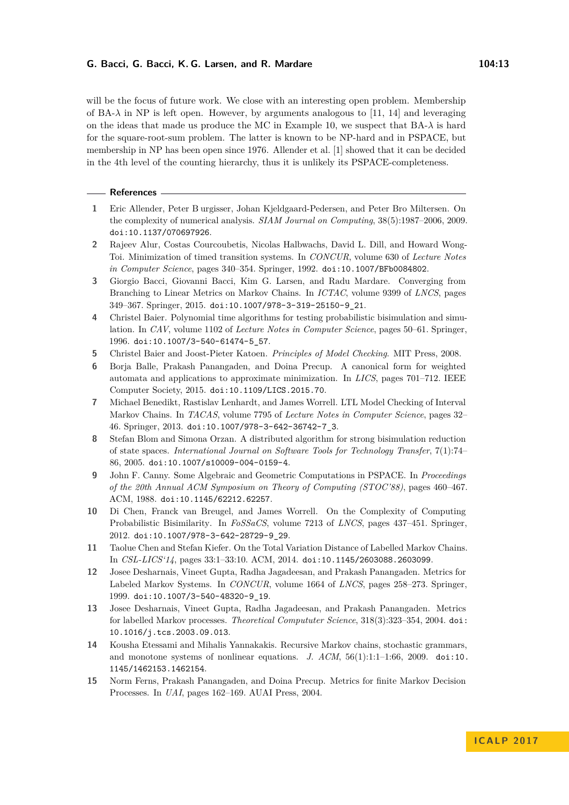will be the focus of future work. We close with an interesting open problem. Membership of BA- $\lambda$  in NP is left open. However, by arguments analogous to [\[11,](#page-12-12) [14\]](#page-12-13) and leveraging on the ideas that made us produce the MC in Example [10,](#page-5-9) we suspect that  $BA-\lambda$  is hard for the square-root-sum problem. The latter is known to be NP-hard and in PSPACE, but membership in NP has been open since 1976. Allender et al. [\[1\]](#page-12-14) showed that it can be decided in the 4th level of the counting hierarchy, thus it is unlikely its PSPACE-completeness.

#### **References**

- <span id="page-12-14"></span>**1** Eric Allender, Peter B urgisser, Johan Kjeldgaard-Pedersen, and Peter Bro Miltersen. On the complexity of numerical analysis. *SIAM Journal on Computing*, 38(5):1987–2006, 2009. [doi:10.1137/070697926](http://dx.doi.org/10.1137/070697926).
- <span id="page-12-1"></span>**2** Rajeev Alur, Costas Courcoubetis, Nicolas Halbwachs, David L. Dill, and Howard Wong-Toi. Minimization of timed transition systems. In *CONCUR*, volume 630 of *Lecture Notes in Computer Science*, pages 340–354. Springer, 1992. [doi:10.1007/BFb0084802](http://dx.doi.org/10.1007/BFb0084802).
- <span id="page-12-11"></span>**3** Giorgio Bacci, Giovanni Bacci, Kim G. Larsen, and Radu Mardare. Converging from Branching to Linear Metrics on Markov Chains. In *ICTAC*, volume 9399 of *LNCS*, pages 349–367. Springer, 2015. [doi:10.1007/978-3-319-25150-9\\_21](http://dx.doi.org/10.1007/978-3-319-25150-9_21).
- <span id="page-12-0"></span>**4** Christel Baier. Polynomial time algorithms for testing probabilistic bisimulation and simulation. In *CAV*, volume 1102 of *Lecture Notes in Computer Science*, pages 50–61. Springer, 1996. [doi:10.1007/3-540-61474-5\\_57](http://dx.doi.org/10.1007/3-540-61474-5_57).
- <span id="page-12-10"></span>**5** Christel Baier and Joost-Pieter Katoen. *Principles of Model Checking*. MIT Press, 2008.
- <span id="page-12-7"></span>**6** Borja Balle, Prakash Panangaden, and Doina Precup. A canonical form for weighted automata and applications to approximate minimization. In *LICS*, pages 701–712. IEEE Computer Society, 2015. [doi:10.1109/LICS.2015.70](http://dx.doi.org/10.1109/LICS.2015.70).
- <span id="page-12-6"></span>**7** Michael Benedikt, Rastislav Lenhardt, and James Worrell. LTL Model Checking of Interval Markov Chains. In *TACAS*, volume 7795 of *Lecture Notes in Computer Science*, pages 32– 46. Springer, 2013. [doi:10.1007/978-3-642-36742-7\\_3](http://dx.doi.org/10.1007/978-3-642-36742-7_3).
- <span id="page-12-2"></span>**8** Stefan Blom and Simona Orzan. A distributed algorithm for strong bisimulation reduction of state spaces. *International Journal on Software Tools for Technology Transfer*, 7(1):74– 86, 2005. [doi:10.1007/s10009-004-0159-4](http://dx.doi.org/10.1007/s10009-004-0159-4).
- <span id="page-12-9"></span>**9** John F. Canny. Some Algebraic and Geometric Computations in PSPACE. In *Proceedings of the 20th Annual ACM Symposium on Theory of Computing (STOC'88)*, pages 460–467. ACM, 1988. [doi:10.1145/62212.62257](http://dx.doi.org/10.1145/62212.62257).
- <span id="page-12-4"></span>**10** Di Chen, Franck van Breugel, and James Worrell. On the Complexity of Computing Probabilistic Bisimilarity. In *FoSSaCS*, volume 7213 of *LNCS*, pages 437–451. Springer, 2012. [doi:10.1007/978-3-642-28729-9\\_29](http://dx.doi.org/10.1007/978-3-642-28729-9_29).
- <span id="page-12-12"></span>**11** Taolue Chen and Stefan Kiefer. On the Total Variation Distance of Labelled Markov Chains. In *CSL-LICS'14*, pages 33:1–33:10. ACM, 2014. [doi:10.1145/2603088.2603099](http://dx.doi.org/10.1145/2603088.2603099).
- <span id="page-12-3"></span>**12** Josee Desharnais, Vineet Gupta, Radha Jagadeesan, and Prakash Panangaden. Metrics for Labeled Markov Systems. In *CONCUR*, volume 1664 of *LNCS*, pages 258–273. Springer, 1999. [doi:10.1007/3-540-48320-9\\_19](http://dx.doi.org/10.1007/3-540-48320-9_19).
- <span id="page-12-8"></span>**13** Josee Desharnais, Vineet Gupta, Radha Jagadeesan, and Prakash Panangaden. Metrics for labelled Markov processes. *Theoretical Compututer Science*, 318(3):323–354, 2004. [doi:](http://dx.doi.org/10.1016/j.tcs.2003.09.013) [10.1016/j.tcs.2003.09.013](http://dx.doi.org/10.1016/j.tcs.2003.09.013).
- <span id="page-12-13"></span>**14** Kousha Etessami and Mihalis Yannakakis. Recursive Markov chains, stochastic grammars, and monotone systems of nonlinear equations. *J. ACM*,  $56(1):1:1-1:66$ , 2009. [doi:10.](http://dx.doi.org/10.1145/1462153.1462154) [1145/1462153.1462154](http://dx.doi.org/10.1145/1462153.1462154).
- <span id="page-12-5"></span>**15** Norm Ferns, Prakash Panangaden, and Doina Precup. Metrics for finite Markov Decision Processes. In *UAI*, pages 162–169. AUAI Press, 2004.